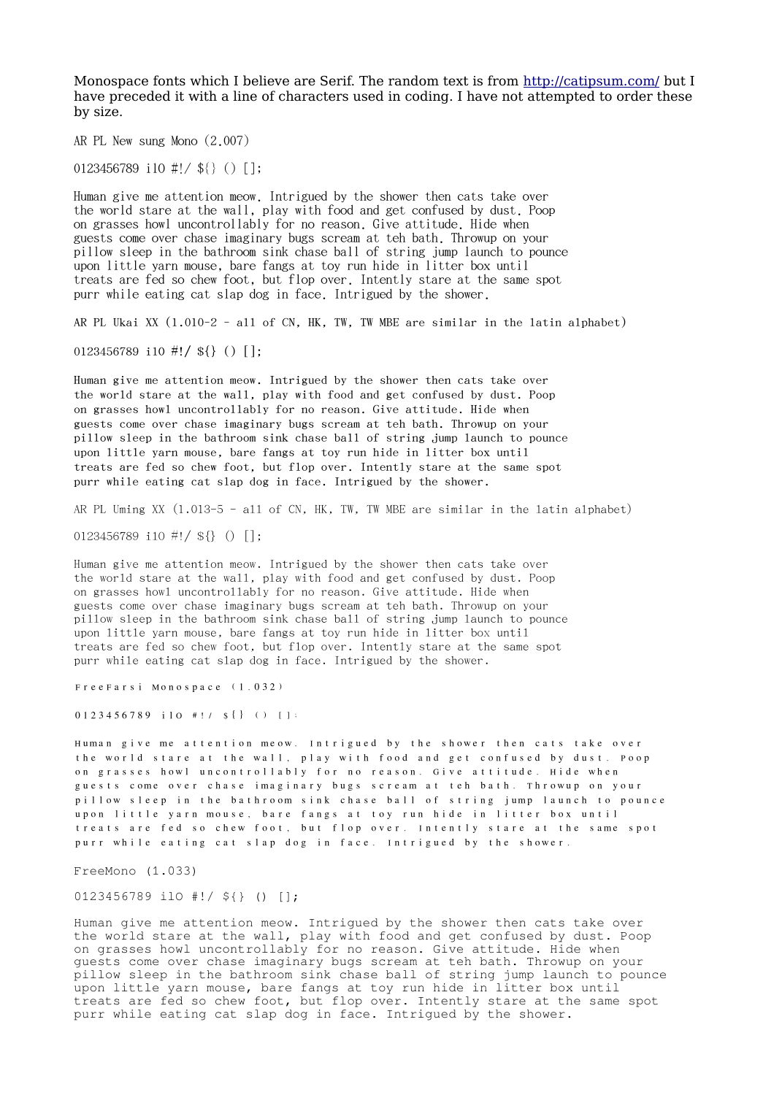Monospace fonts which I believe are Serif. The random text is from <http://catipsum.com/>but I have preceded it with a line of characters used in coding. I have not attempted to order these by size.

AR PL New sung Mono (2.007)

0123456789 ilO #!/ \${} () [];

Human give me attention meow. Intrigued by the shower then cats take over the world stare at the wall, play with food and get confused by dust. Poop on grasses howl uncontrollably for no reason. Give attitude. Hide when guests come over chase imaginary bugs scream at teh bath. Throwup on your pillow sleep in the bathroom sink chase ball of string jump launch to pounce upon little yarn mouse, bare fangs at toy run hide in litter box until treats are fed so chew foot, but flop over. Intently stare at the same spot purr while eating cat slap dog in face. Intrigued by the shower.

AR PL Ukai XX (1.010-2 - all of CN, HK, TW, TW MBE are similar in the latin alphabet)

0123456789 i10 #!/  $\{\}$  () [];

Human give me attention meow. Intrigued by the shower then cats take over the world stare at the wall, play with food and get confused by dust. Poop on grasses howl uncontrollably for no reason. Give attitude. Hide when guests come over chase imaginary bugs scream at teh bath. Throwup on your pillow sleep in the bathroom sink chase ball of string jump launch to pounce upon little yarn mouse, bare fangs at toy run hide in litter box until treats are fed so chew foot, but flop over. Intently stare at the same spot purr while eating cat slap dog in face. Intrigued by the shower.

AR PL Uming XX (1.013-5 - all of CN, HK, TW, TW MBE are similar in the latin alphabet)

 $0123456789$  ilo #!/ \${} () [];

Human give me attention meow. Intrigued by the shower then cats take over the world stare at the wall, play with food and get confused by dust. Poop on grasses howl uncontrollably for no reason. Give attitude. Hide when guests come over chase imaginary bugs scream at teh bath. Throwup on your pillow sleep in the bathroom sink chase ball of string jump launch to pounce upon little yarn mouse, bare fangs at toy run hide in litter box until treats are fed so chew foot, but flop over. Intently stare at the same spot purr while eating cat slap dog in face. Intrigued by the shower.

FreeFarsi Monospace (1.032)

0123456789 ilO #!/ \${} () [];

Human give me attention meow. Intrigued by the shower then cats take over the world stare at the wall, play with food and get confused by dust. Poop on grasses howl uncontrollably for no reason. Give attitude. Hide when guests come over chase imaginary bugs scream at teh bath. Throwup on your pillow sleep in the bathroom sink chase ball of string jump launch to pounce upon little yarn mouse, bare fangs at toy run hide in litter box until treats are fed so chew foot, but flop over. Intently stare at the same spot purr while eating cat slap dog in face. Intrigued by the shower.

FreeMono (1.033)

0123456789 ilO #!/ \${} () [];

Human give me attention meow. Intrigued by the shower then cats take over the world stare at the wall, play with food and get confused by dust. Poop on grasses howl uncontrollably for no reason. Give attitude. Hide when guests come over chase imaginary bugs scream at teh bath. Throwup on your pillow sleep in the bathroom sink chase ball of string jump launch to pounce upon little yarn mouse, bare fangs at toy run hide in litter box until treats are fed so chew foot, but flop over. Intently stare at the same spot purr while eating cat slap dog in face. Intrigued by the shower.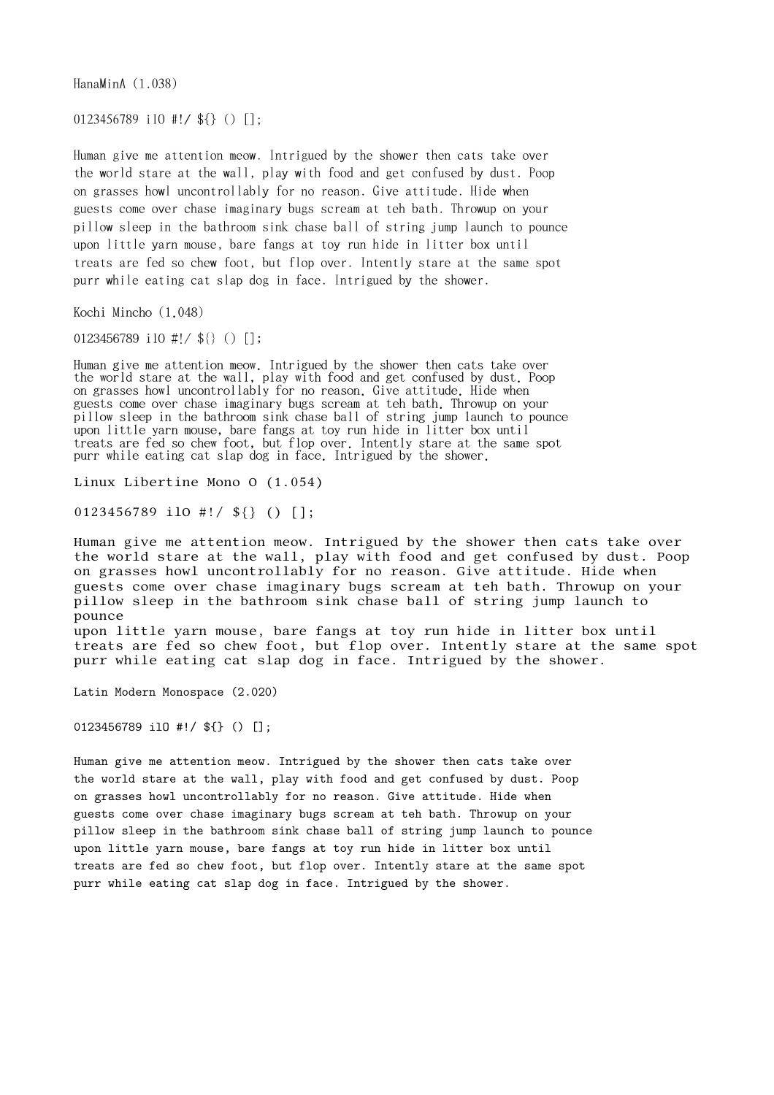HanaMinA (1.038)

0123456789 ilO #!/ \${} () [];

Human give me attention meow. Intrigued by the shower then cats take over the world stare at the wall, play with food and get confused by dust. Poop on grasses howl uncontrollably for no reason. Give attitude. Hide when guests come over chase imaginary bugs scream at teh bath. Throwup on your pillow sleep in the bathroom sink chase ball of string jump launch to pounce upon little yarn mouse, bare fangs at toy run hide in litter box until treats are fed so chew foot, but flop over. Intently stare at the same spot purr while eating cat slap dog in face. Intrigued by the shower.

Kochi Mincho (1.048)

0123456789 ilO #!/ \${} () [];

Human give me attention meow. Intrigued by the shower then cats take over the world stare at the wall, play with food and get confused by dust. Poop on grasses howl uncontrollably for no reason. Give attitude. Hide when guests come over chase imaginary bugs scream at teh bath. Throwup on your pillow sleep in the bathroom sink chase ball of string jump launch to pounce upon little yarn mouse, bare fangs at toy run hide in litter box until treats are fed so chew foot, but flop over. Intently stare at the same spot purr while eating cat slap dog in face. Intrigued by the shower.

Linux Libertine Mono O (1.054)

0123456789 ilO #!/ \${} () [];

Human give me attention meow. Intrigued by the shower then cats take over the world stare at the wall, play with food and get confused by dust. Poop on grasses howl uncontrollably for no reason. Give attitude. Hide when guests come over chase imaginary bugs scream at teh bath. Throwup on your pillow sleep in the bathroom sink chase ball of string jump launch to pounce

upon little yarn mouse, bare fangs at toy run hide in litter box until treats are fed so chew foot, but flop over. Intently stare at the same spot purr while eating cat slap dog in face. Intrigued by the shower.

Latin Modern Monospace (2.020)

0123456789 ilO #!/ \${} () [];

Human give me attention meow. Intrigued by the shower then cats take over the world stare at the wall, play with food and get confused by dust. Poop on grasses howl uncontrollably for no reason. Give attitude. Hide when guests come over chase imaginary bugs scream at teh bath. Throwup on your pillow sleep in the bathroom sink chase ball of string jump launch to pounce upon little yarn mouse, bare fangs at toy run hide in litter box until treats are fed so chew foot, but flop over. Intently stare at the same spot purr while eating cat slap dog in face. Intrigued by the shower.